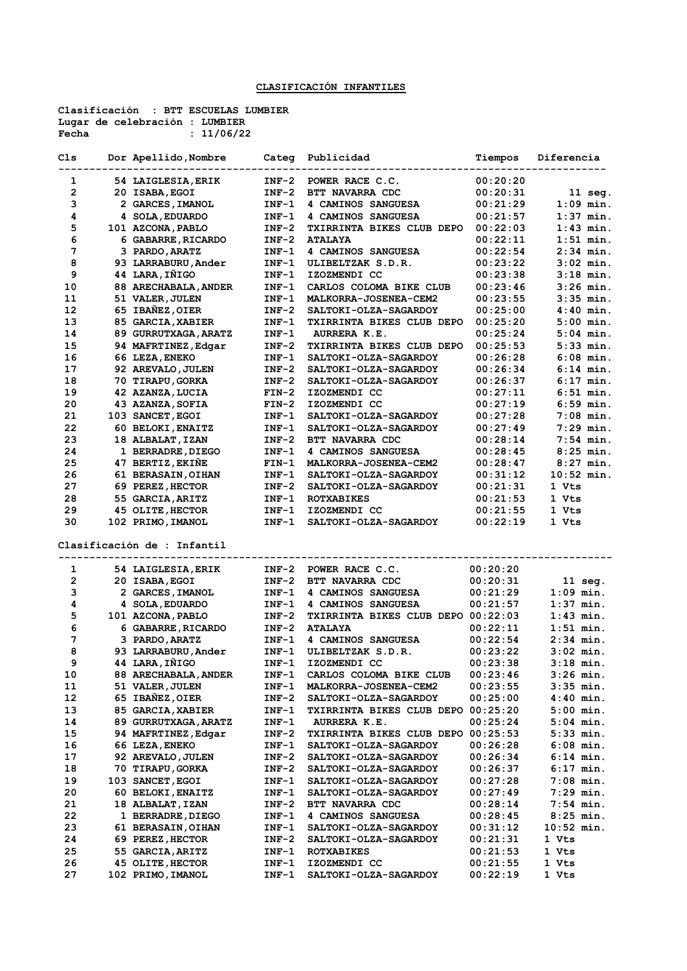## **CLASIFICACIÓN INFANTILES**

**Clasificación : BTT ESCUELAS LUMBIER Lugar de celebración : LUMBIER Fecha : 11/06/22**

| Cls | Dor Apellido, Nombre        |         | Categ Publicidad                          | Tiempos  | Diferencia        |
|-----|-----------------------------|---------|-------------------------------------------|----------|-------------------|
| 1   | 54 LAIGLESIA, ERIK          | $INF-2$ | POWER RACE C.C.                           | 00:20:20 |                   |
| 2   | 20 ISABA, EGOI              | $INF-2$ | BTT NAVARRA CDC                           | 00:20:31 | $11 \text{ seq.}$ |
| з   | 2 GARCES, IMANOL            | $INF-1$ | 4 CAMINOS SANGUESA                        | 00:21:29 | $1:09$ min.       |
| 4   | 4 SOLA, EDUARDO             | $INF-1$ | 4 CAMINOS SANGUESA                        | 00:21:57 | $1:37$ min.       |
| 5   | 101 AZCONA, PABLO           | INF-2   | TXIRRINTA BIKES CLUB DEPO                 | 00:22:03 | $1:43$ min.       |
| 6   | 6 GABARRE, RICARDO          | INF-2   | <b>ATALAYA</b>                            | 00:22:11 | $1:51$ min.       |
| 7   | 3 PARDO, ARATZ              | INF-1   | 4 CAMINOS SANGUESA                        | 00:22:54 | $2:34$ min.       |
| 8   | 93 LARRABURU, Ander         | $INF-1$ | ULIBELTZAK S.D.R.                         | 00:23:22 | $3:02$ min.       |
| 9   | 44 LARA, IÑIGO              | $INF-1$ | IZOZMENDI CC                              | 00:23:38 | $3:18$ min.       |
| 10  | 88 ARECHABALA, ANDER        | INF-1   | CARLOS COLOMA BIKE CLUB                   | 00:23:46 | $3:26$ min.       |
| 11  | 51 VALER, JULEN             | INF-1   | MALKORRA-JOSENEA-CEM2                     | 00:23:55 | $3:35$ min.       |
| 12  | 65 IBAÑEZ, OIER             | $INF-2$ | SALTOKI-OLZA-SAGARDOY                     | 00:25:00 | $4:40$ min.       |
| 13  | 85 GARCIA, XABIER           | $INF-1$ | <b>TXIRRINTA BIKES CLUB DEPO</b>          | 00:25:20 | $5:00$ min.       |
| 14  | 89 GURRUTXAGA, ARATZ        | $INF-1$ | AURRERA K.E.                              | 00:25:24 | $5:04$ min.       |
| 15  | 94 MAFRTINEZ, Edgar         | INF-2   | TXIRRINTA BIKES CLUB DEPO                 | 00:25:53 | 5:33 min.         |
| 16  | 66 LEZA, ENEKO              | INF-1   | SALTOKI-OLZA-SAGARDOY                     | 00:26:28 | $6:08$ min.       |
| 17  | 92 AREVALO, JULEN           | $INF-2$ | <b>SALTOKI-OLZA-SAGARDOY</b>              | 00:26:34 | 6:14 min.         |
| 18  | 70 TIRAPU, GORKA            | $INF-2$ | SALTOKI-OLZA-SAGARDOY                     | 00:26:37 | $6:17$ min.       |
| 19  | 42 AZANZA, LUCIA            | $FIN-2$ | IZOZMENDI CC                              | 00:27:11 | $6:51$ min.       |
| 20  | 43 AZANZA, SOFIA            | $FIN-2$ | IZOZMENDI CC                              | 00:27:19 | $6:59$ min.       |
| 21  | 103 SANCET, EGOI            | $INF-1$ | SALTOKI-OLZA-SAGARDOY                     | 00:27:28 | $7:08$ min.       |
| 22  | 60 BELOKI, ENAITZ           | INF-1   | <b>SALTOKI-OLZA-SAGARDOY</b>              | 00:27:49 | $7:29$ min.       |
| 23  | 18 ALBALAT, IZAN            | $INF-2$ | BTT NAVARRA CDC                           | 00:28:14 | $7:54$ min.       |
| 24  | 1 BERRADRE, DIEGO           | $INF-1$ | 4 CAMINOS SANGUESA                        | 00:28:45 | $8:25$ min.       |
| 25  | 47 BERTIZ, EKIÑE            | FIN-1   | MALKORRA-JOSENEA-CEM2                     | 00:28:47 | $8:27$ min.       |
| 26  | 61 BERASAIN, OIHAN          | INF-1   | SALTOKI-OLZA-SAGARDOY                     | 00:31:12 | 10:52 min.        |
| 27  | 69 PEREZ, HECTOR            | $INF-2$ | SALTOKI-OLZA-SAGARDOY                     | 00:21:31 | 1 Vts             |
| 28  | 55 GARCIA, ARITZ            | INF-1   | <b>ROTXABIKES</b>                         | 00:21:53 | 1 Vts             |
| 29  | 45 OLITE, HECTOR            | $INF-1$ | IZOZMENDI CC                              | 00:21:55 | 1 Vts             |
| 30  | 102 PRIMO, IMANOL           | $INF-1$ | SALTOKI-OLZA-SAGARDOY                     | 00:22:19 | 1 Vts             |
|     | Clasificación de : Infantil |         |                                           |          |                   |
| 1   | 54 LAIGLESIA, ERIK          | INF-2   | POWER RACE C.C.                           | 00:20:20 |                   |
| 2   | 20 ISABA, EGOI              | $INF-2$ | BTT NAVARRA CDC                           | 00:20:31 | $11$ seg.         |
| з   | 2 GARCES, IMANOL            | $INF-1$ | 4 CAMINOS SANGUESA                        | 00:21:29 | 1:09 min.         |
| 4   | 4 SOLA, EDUARDO             | $INF-1$ | 4 CAMINOS SANGUESA                        | 00:21:57 | $1:37$ min.       |
| 5   | 101 AZCONA, PABLO           | INF-2   | TXIRRINTA BIKES CLUB DEPO 00:22:03        |          | $1:43$ min.       |
| 6   | 6 GABARRE, RICARDO          | $INF-2$ | <b>ATALAYA</b>                            | 00:22:11 | $1:51$ min.       |
| 7   | 3 PARDO, ARATZ              | $INF-1$ | 4 CAMINOS SANGUESA                        | 00:22:54 | $2:34$ min.       |
| 8   | 93 LARRABURU, Ander         | $INF-1$ | ULIBELTZAK S.D.R.                         | 00:23:22 | 3:02 min.         |
| 9   | 44 LARA, IÑIGO              | $INF-1$ | IZOZMENDI CC                              | 00:23:38 | 3:18 min.         |
| 10  | 88 ARECHABALA, ANDER        | INF-1   | CARLOS COLOMA BIKE CLUB                   | 00:23:46 | 3:26 min.         |
| 11  | 51 VALER, JULEN             | INF-1   | MALKORRA-JOSENEA-CEM2                     | 00:23:55 | $3:35$ min.       |
| 12  | 65 IBAÑEZ, OIER             | $INF-2$ | SALTOKI-OLZA-SAGARDOY                     | 00:25:00 | 4:40 min.         |
| 13  | 85 GARCIA, XABIER           | INF-1   | TXIRRINTA BIKES CLUB DEPO                 | 00:25:20 | $5:00$ min.       |
| 14  | 89 GURRUTXAGA, ARATZ        | INF-1   | AURRERA K.E.                              | 00:25:24 | 5:04 min.         |
| 15  | 94 MAFRTINEZ, Edgar         | INF-2   | <b>TXIRRINTA BIKES CLUB DEPO 00:25:53</b> |          | 5:33 min.         |
| 16  | 66 LEZA, ENEKO              | INF-1   | <b>SALTOKI-OLZA-SAGARDOY</b>              | 00:26:28 | 6:08 min.         |
| 17  | 92 AREVALO, JULEN           | $INF-2$ | <b>SALTOKI-OLZA-SAGARDOY</b>              | 00:26:34 | $6:14$ min.       |
| 18  | 70 TIRAPU,GORKA             | INF-2   | <b>SALTOKI-OLZA-SAGARDOY</b>              | 00:26:37 | 6:17 min.         |
| 19  | 103 SANCET, EGOI            | INF-1   | <b>SALTOKI-OLZA-SAGARDOY</b>              | 00:27:28 | 7:08 min.         |
| 20  | 60 BELOKI, ENAITZ           | INF-1   | SALTOKI-OLZA-SAGARDOY                     | 00:27:49 | 7:29 min.         |
| 21  | 18 ALBALAT, IZAN            | $INF-2$ | BTT NAVARRA CDC                           | 00:28:14 | $7:54$ min.       |
| 22  | 1 BERRADRE, DIEGO           | INF-1   | <b>4 CAMINOS SANGUESA</b>                 | 00:28:45 | $8:25$ min.       |
| 23  | 61 BERASAIN, OIHAN          | INF-1   | <b>SALTOKI-OLZA-SAGARDOY</b>              | 00:31:12 | 10:52 min.        |
| 24  | 69 PEREZ, HECTOR            | INF-2   | <b>SALTOKI-OLZA-SAGARDOY</b>              | 00:21:31 | 1 Vts             |
| 25  | 55 GARCIA, ARITZ            | INF-1   | <b>ROTXABIKES</b>                         | 00:21:53 | 1 Vts             |
| 26  | <b>45 OLITE, HECTOR</b>     | INF-1   | IZOZMENDI CC                              | 00:21:55 | 1 Vts             |
| 27  | 102 PRIMO, IMANOL           | INF-1   | <b>SALTOKI-OLZA-SAGARDOY</b>              | 00:22:19 | 1 Vts             |
|     |                             |         |                                           |          |                   |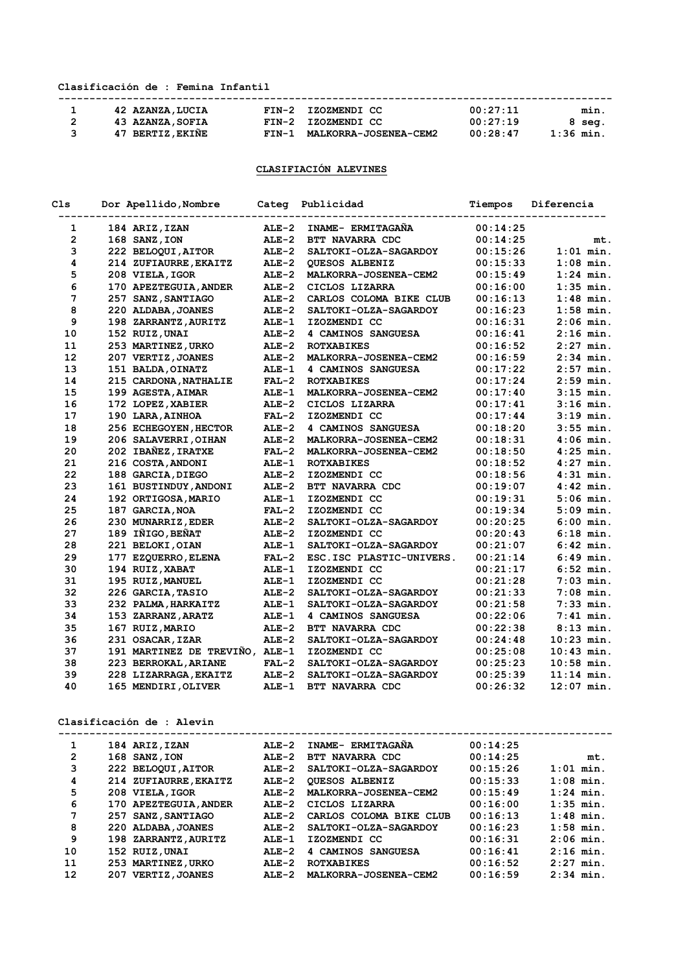## **Clasificación de : Femina Infantil**

| 42 AZANZA, LUCIA | FIN-2 IZOZMENDI CC          | 00:27:11 | min.      |
|------------------|-----------------------------|----------|-----------|
| 43 AZANZA, SOFIA | FIN-2 IZOZMENDI CC          | 00:27:19 | 8 sea.    |
| 47 BERTIZ, EKINE | FIN-1 MALKORRA-JOSENEA-CEM2 | 00:28:47 | 1:36 min. |

## **CLASIFIACIÓN ALEVINES**

| Cls            | Dor Apellido, Nombre           |         | Categ Publicidad             | Tiempos  | Diferencia   |
|----------------|--------------------------------|---------|------------------------------|----------|--------------|
| 1              | 184 ARIZ, IZAN                 | $ALE-2$ | INAME- ERMITAGAÑA            | 00:14:25 |              |
| $\overline{2}$ | 168 SANZ, ION                  | $ALE-2$ | BTT NAVARRA CDC              | 00:14:25 | mt.          |
| 3              | 222 BELOQUI, AITOR             | $ALE-2$ | SALTOKI-OLZA-SAGARDOY        | 00:15:26 | $1:01$ min.  |
| 4              | 214 ZUFIAURRE, EKAITZ          | $ALE-2$ | QUESOS ALBENIZ               | 00:15:33 | $1:08$ min.  |
| 5              | 208 VIELA, IGOR                | $ALE-2$ | MALKORRA-JOSENEA-CEM2        | 00:15:49 | $1:24$ min.  |
| 6              | 170 APEZTEGUIA, ANDER          | $ALE-2$ | CICLOS LIZARRA               | 00:16:00 | $1:35$ min.  |
| 7              | 257 SANZ, SANTIAGO             | $ALE-2$ | CARLOS COLOMA BIKE CLUB      | 00:16:13 | $1:48$ min.  |
| 8              | 220 ALDABA, JOANES             | $ALE-2$ | SALTOKI-OLZA-SAGARDOY        | 00:16:23 | $1:58$ min.  |
| 9              | 198 ZARRANTZ, AURITZ           | $ALE-1$ | IZOZMENDI CC                 | 00:16:31 | $2:06$ min.  |
| 10             | 152 RUIZ, UNAI                 | $ALE-2$ | 4 CAMINOS SANGUESA           | 00:16:41 | $2:16$ min.  |
| 11             | 253 MARTINEZ, URKO             | $ALE-2$ | <b>ROTXABIKES</b>            | 00:16:52 | $2:27$ min.  |
| 12             | 207 VERTIZ, JOANES             | $ALE-2$ | MALKORRA-JOSENEA-CEM2        | 00:16:59 | $2:34$ min.  |
| 13             | 151 BALDA, OINATZ              | $ALE-1$ | <b>4 CAMINOS SANGUESA</b>    | 00:17:22 | $2:57$ min.  |
| 14             | 215 CARDONA, NATHALIE          | $FAL-2$ | <b>ROTXABIKES</b>            | 00:17:24 | 2:59 min.    |
| 15             | 199 AGESTA, AIMAR              | $ALE-1$ | MALKORRA-JOSENEA-CEM2        | 00:17:40 | $3:15$ min.  |
| 16             | 172 LOPEZ, XABIER              | $ALE-2$ | CICLOS LIZARRA               | 00:17:41 | $3:16$ min.  |
| 17             | 190 LARA, AINHOA               | $FAL-2$ | IZOZMENDI CC                 | 00:17:44 | $3:19$ min.  |
| 18             | 256 ECHEGOYEN, HECTOR          | $ALE-2$ | 4 CAMINOS SANGUESA           | 00:18:20 | $3:55$ min.  |
| 19             | 206 SALAVERRI, OIHAN           | $ALE-2$ | MALKORRA-JOSENEA-CEM2        | 00:18:31 | $4:06$ min.  |
| 20             | 202 IBAÑEZ, IRATXE             | $FAL-2$ | MALKORRA-JOSENEA-CEM2        | 00:18:50 | $4:25$ min.  |
| 21             | 216 COSTA, ANDONI              | $ALE-1$ | <b>ROTXABIKES</b>            | 00:18:52 | $4:27$ min.  |
| 22             | 188 GARCIA, DIEGO              | $ALE-2$ | IZOZMENDI CC                 | 00:18:56 | $4:31$ min.  |
| 23             | 161 BUSTINDUY, ANDONI          | $ALE-2$ | BTT NAVARRA CDC              | 00:19:07 | $4:42$ min.  |
| 24             | 192 ORTIGOSA, MARIO            | $ALE-1$ | IZOZMENDI CC                 | 00:19:31 | $5:06$ min.  |
| 25             | 187 GARCIA, NOA                | $FAL-2$ | IZOZMENDI CC                 | 00:19:34 | $5:09$ min.  |
| 26             | 230 MUNARRIZ, EDER             | $ALE-2$ | SALTOKI-OLZA-SAGARDOY        | 00:20:25 | $6:00$ min.  |
| 27             | 189 IÑIGO, BEÑAT               | $ALE-2$ | IZOZMENDI CC                 | 00:20:43 | $6:18$ min.  |
| 28             | 221 BELOKI, OIAN               | ALE-1   | SALTOKI-OLZA-SAGARDOY        | 00:21:07 | $6:42$ min.  |
| 29             | 177 EZQUERRO, ELENA            | $FAL-2$ | ESC. ISC PLASTIC-UNIVERS.    | 00:21:14 | $6:49$ min.  |
| 30             | 194 RUIZ, XABAT                | $ALE-1$ | IZOZMENDI CC                 | 00:21:17 | $6:52$ min.  |
| 31             | 195 RUIZ, MANUEL               | $ALE-1$ | IZOZMENDI CC                 | 00:21:28 | $7:03$ min.  |
| 32             | 226 GARCIA, TASIO              | $ALE-2$ | SALTOKI-OLZA-SAGARDOY        | 00:21:33 | $7:08$ min.  |
| 33             | 232 PALMA, HARKAITZ            | $ALE-1$ | <b>SALTOKI-OLZA-SAGARDOY</b> | 00:21:58 | $7:33$ min.  |
| 34             | 153 ZARRANZ, ARATZ             | $ALE-1$ | 4 CAMINOS SANGUESA           | 00:22:06 | $7:41$ min.  |
| 35             | 167 RUIZ, MARIO                | $ALE-2$ | BTT NAVARRA CDC              | 00:22:38 | $8:13$ min.  |
| 36             | 231 OSACAR, IZAR               | $ALE-2$ | SALTOKI-OLZA-SAGARDOY        | 00:24:48 | $10:23$ min. |
| 37             | 191 MARTINEZ DE TREVIÑO, ALE-1 |         | IZOZMENDI CC                 | 00:25:08 | $10:43$ min. |
| 38             | 223 BERROKAL, ARIANE           | $FAL-2$ | SALTOKI-OLZA-SAGARDOY        | 00:25:23 | $10:58$ min. |
| 39             | 228 LIZARRAGA, EKAITZ          | $ALE-2$ | <b>SALTOKI-OLZA-SAGARDOY</b> | 00:25:39 | $11:14$ min. |
| 40             | 165 MENDIRI, OLIVER            | $ALE-1$ | BTT NAVARRA CDC              | 00:26:32 | $12:07$ min. |

## **Clasificación de : Alevin**

| 1  | 184 ARIZ, IZAN        | ALE-2   | INAME- ERMITAGANA       | 00:14:25 |             |
|----|-----------------------|---------|-------------------------|----------|-------------|
| 2  | 168 SANZ, ION         | $ALE-2$ | BTT NAVARRA CDC         | 00:14:25 | mt.         |
| 3  | 222 BELOQUI, AITOR    | $ALE-2$ | SALTOKI-OLZA-SAGARDOY   | 00:15:26 | $1:01$ min. |
| 4  | 214 ZUFIAURRE, EKAITZ | $ALE-2$ | <b>QUESOS ALBENIZ</b>   | 00:15:33 | $1:08$ min. |
| 5  | 208 VIELA, IGOR       | $ALE-2$ | MALKORRA-JOSENEA-CEM2   | 00:15:49 | $1:24$ min. |
| 6  | 170 APEZTEGUIA, ANDER | $ALE-2$ | CICLOS LIZARRA          | 00:16:00 | $1:35$ min. |
| 7  | 257 SANZ, SANTIAGO    | $ALE-2$ | CARLOS COLOMA BIKE CLUB | 00:16:13 | $1:48$ min. |
| 8  | 220 ALDABA, JOANES    | $ALE-2$ | SALTOKI-OLZA-SAGARDOY   | 00:16:23 | $1:58$ min. |
| 9  | 198 ZARRANTZ, AURITZ  | $ALE-1$ | IZOZMENDI CC            | 00:16:31 | $2:06$ min. |
| 10 | 152 RUIZ, UNAI        | $ALE-2$ | 4 CAMINOS SANGUESA      | 00:16:41 | $2:16$ min. |
| 11 | 253 MARTINEZ, URKO    | $ALE-2$ | <b>ROTXABIKES</b>       | 00:16:52 | $2:27$ min. |
| 12 | 207 VERTIZ, JOANES    | $ALE-2$ | MALKORRA-JOSENEA-CEM2   | 00:16:59 | $2:34$ min. |
|    |                       |         |                         |          |             |